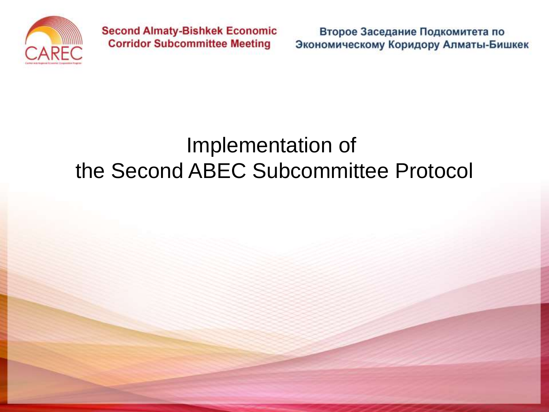

Второе Заседание Подкомитета по Экономическому Коридору Алматы-Бишкек

#### Implementation of the Second ABEC Subcommittee Protocol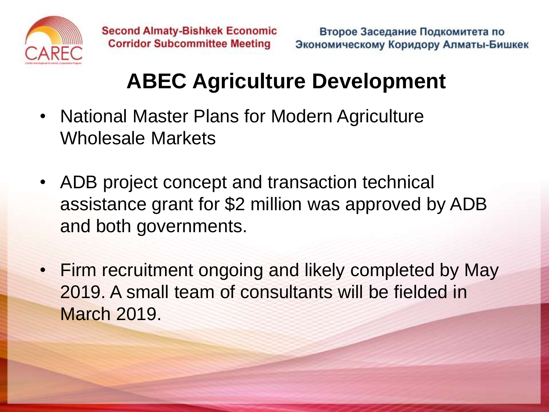

## **ABEC Agriculture Development**

- National Master Plans for Modern Agriculture Wholesale Markets
- ADB project concept and transaction technical assistance grant for \$2 million was approved by ADB and both governments.
- Firm recruitment ongoing and likely completed by May 2019. A small team of consultants will be fielded in March 2019.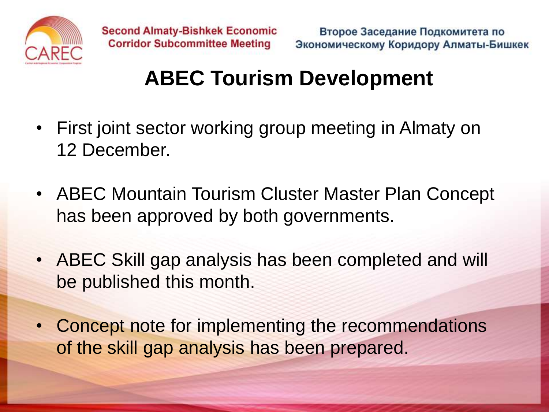

### **ABEC Tourism Development**

- First joint sector working group meeting in Almaty on 12 December.
- ABEC Mountain Tourism Cluster Master Plan Concept has been approved by both governments.
- ABEC Skill gap analysis has been completed and will be published this month.
- Concept note for implementing the recommendations of the skill gap analysis has been prepared.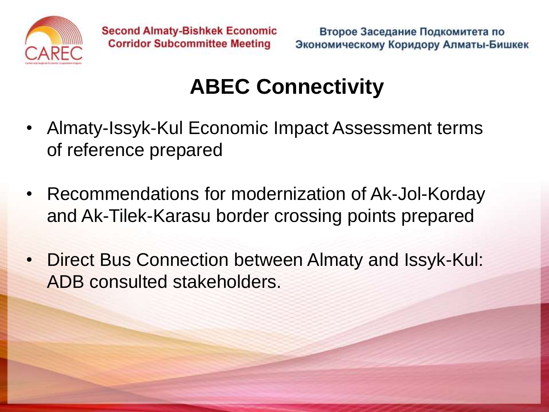

## **ABEC Connectivity**

- Almaty-Issyk-Kul Economic Impact Assessment terms of reference prepared
- Recommendations for modernization of Ak-Jol-Korday and Ak-Tilek-Karasu border crossing points prepared
- Direct Bus Connection between Almaty and Issyk-Kul: ADB consulted stakeholders.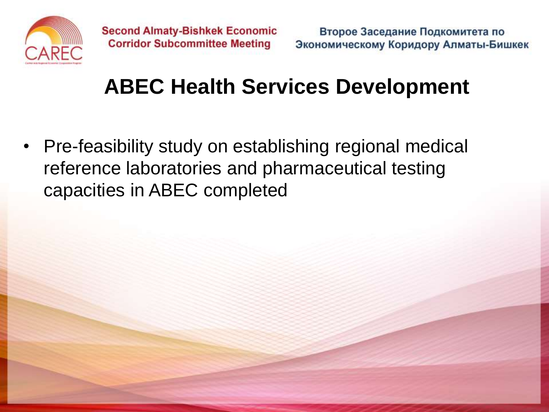

### **ABEC Health Services Development**

• Pre-feasibility study on establishing regional medical reference laboratories and pharmaceutical testing capacities in ABEC completed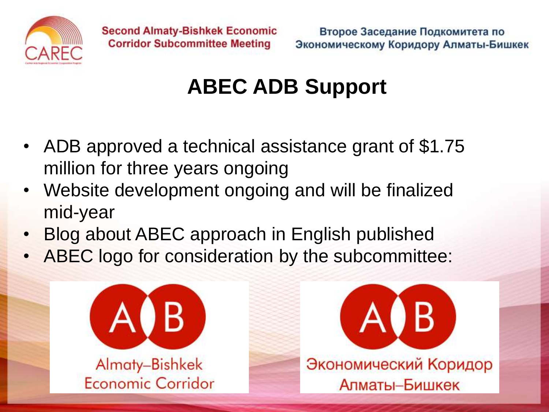

# **ABEC ADB Support**

- ADB approved a technical assistance grant of \$1.75 million for three years ongoing
- Website development ongoing and will be finalized mid-year
- Blog about ABEC approach in English published
- ABEC logo for consideration by the subcommittee: